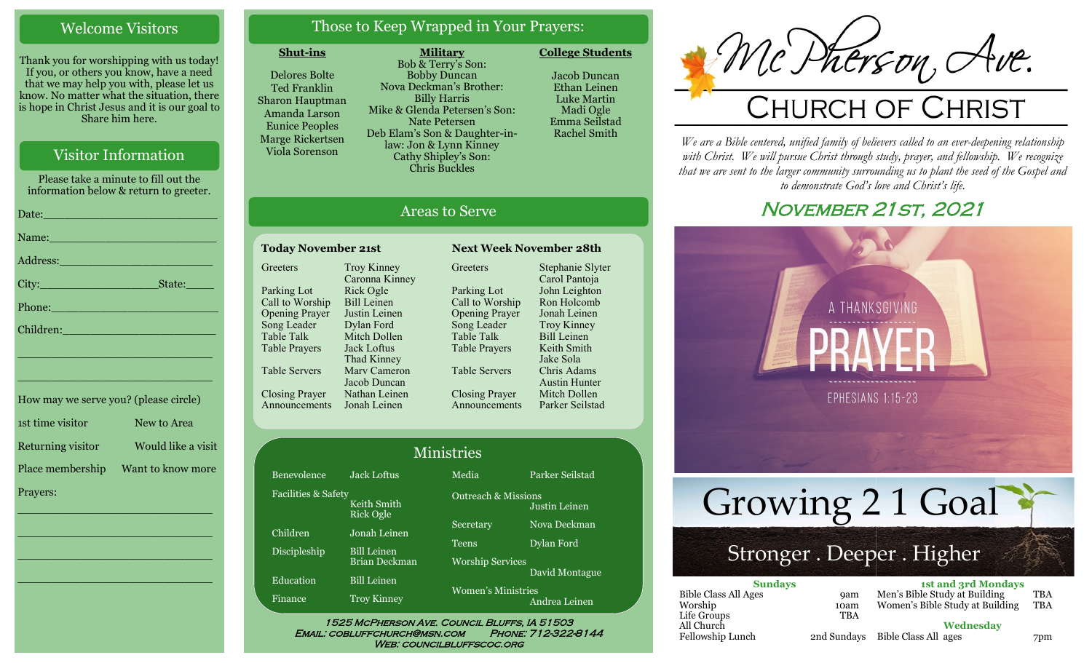#### Welcome Visitors

Thank you for worshipping with us today! If you, or others you know, have a need that we may help you with, please let us know. No matter what the situation, there is hope in Christ Jesus and it is our goal to Share him here.

### Visitor Information

Please take a minute to fill out the information below & return to greeter. Date:\_\_\_\_\_\_\_\_\_\_\_\_\_\_\_\_\_\_\_\_\_\_\_\_\_ Name: Address:\_\_\_\_\_\_\_\_\_\_\_\_\_\_\_\_\_\_\_\_\_\_ City: State:

Phone:\_\_\_\_\_\_\_\_\_\_\_\_\_\_\_\_\_\_\_\_\_\_\_\_

Children:

| How may we serve you? (please circle) |                    |  |
|---------------------------------------|--------------------|--|
| 1st time visitor                      | New to Area        |  |
| Returning visitor                     | Would like a visit |  |
| Place membership                      | Want to know more  |  |
| Prayers:                              |                    |  |

\_\_\_\_\_\_\_\_\_\_\_\_\_\_\_\_\_\_\_\_\_\_\_\_\_\_\_\_

 $\overline{\phantom{a}}$  , and the set of the set of the set of the set of the set of the set of the set of the set of the set of the set of the set of the set of the set of the set of the set of the set of the set of the set of the s

 $\overline{\phantom{a}}$  , and the set of the set of the set of the set of the set of the set of the set of the set of the set of the set of the set of the set of the set of the set of the set of the set of the set of the set of the s

\_\_\_\_\_\_\_\_\_\_\_\_\_\_\_\_\_\_\_\_\_\_\_\_\_\_\_\_

\_\_\_\_\_\_\_\_\_\_\_\_\_\_\_\_\_\_\_\_\_\_\_\_\_\_\_\_

\_\_\_\_\_\_\_\_\_\_\_\_\_\_\_\_\_\_\_\_\_\_\_\_\_\_\_\_

### Those to Keep Wrapped in Your Prayers:

#### **Shut-ins**

**Greeters** 

Parking Lot Call to Worship Opening Prayer Song Leader Table Talk Table Prayers

Table Servers

Closing Prayer

Delores Bolte Ted Franklin Sharon Hauptman Amanda Larson Eunice Peoples Marge Rickertsen Viola Sorenson

Benevolence Jack Loftus

Announcements Jonah Leinen

Children Jonah Leinen Discipleship Bill Leinen

Education Bill Leinen Finance Troy Kinney

Keith Smith Rick Ogle

Troy Kinney Caronna Kinney Rick Ogle Bill Leinen Justin Leinen Dylan Ford Mitch Dollen Jack Loftus Thad Kinney Marv Cameron Jacob Duncan Nathan Leinen

Brian Deckman

Facilities & Safety

**Military** Bob & Terry's Son: Bobby Duncan Nova Deckman's Brother: Billy Harris Mike & Glenda Petersen's Son: Nate Petersen Deb Elam's Son & Daughter-inlaw: Jon & Lynn Kinney Cathy Shipley's Son: Chris Buckles

Today November 21st Next Week November 28th

**Greeters** 

Parking Lot Call to Worship Opening Prayer Song Leader Table Talk Table Prayers

Table Servers

Closing Prayer Announcements

1525 McPherson Ave. Council Bluffs, IA 51503 Email: cobluffchurch@msn.com Phone: 712-322-8144 WEB: COUNCILBLUFFSCOC.ORG

Ministries

Media Parker Seilstad

Secretary Nova Deckman Teens Dylan Ford

Justin Leinen

David Montague

Andrea Leinen

Outreach & Missions

Worship Services

Women's Ministries

**College Students**  Jacob Duncan Ethan Leinen Luke Martin Madi Ogle

> Emma Seilstad Rachel Smith

Stephanie Slyter Carol Pantoja John Leighton Ron Holcomb Jonah Leinen Troy Kinney Bill Leinen Keith Smith Jake Sola Chris Adams Austin Hunter Mitch Dollen Parker Seilstad

Mc Pherson, Ave.

*We are a Bible centered, unified family of believers called to an ever-deepening relationship*  with Christ. We will pursue Christ through study, prayer, and fellowship. We recognize *that we are sent to the larger community surrounding us to plant the seed of the Gospel and to demonstrate God's love and Christ's life.*

# November 21st, 2021



Areas to Serve